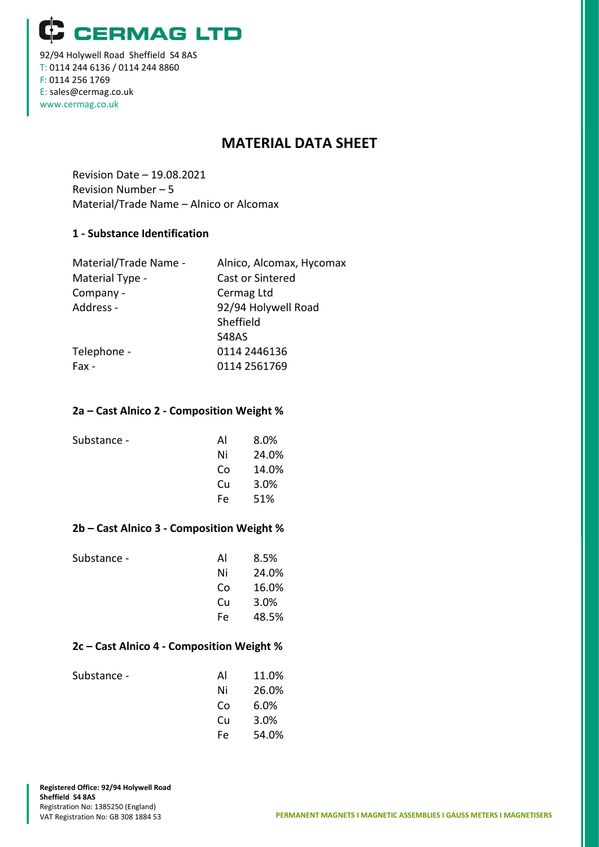**CERMAG LTD** 

92/94 Holywell Road Sheffield S4 8AS T: 0114 244 6136 / 0114 244 8860 F: 0114 256 1769 E: sales@cermag.co.uk www.cermag.co.uk

# **MATERIAL DATA SHEET**

Revision Date – 19.08.2021 Revision Number – 5 Material/Trade Name – Alnico or Alcomax

#### **1 - Substance Identification**

| Material/Trade Name - | Alnico, Alcomax, Hycomax |
|-----------------------|--------------------------|
| Material Type -       | Cast or Sintered         |
| Company -             | Cermag Ltd               |
| Address -             | 92/94 Holywell Road      |
|                       | Sheffield                |
|                       | S48AS                    |
| Telephone -           | 0114 2446136             |
| Fax -                 | 0114 2561769             |
|                       |                          |

#### **2a – Cast Alnico 2 - Composition Weight %**

| Substance - | Al  | 8.0%  |
|-------------|-----|-------|
|             | Ni  | 24.0% |
|             | Co  | 14.0% |
|             | Cu  | 3.0%  |
|             | Fe. | 51%   |
|             |     |       |

#### **2b – Cast Alnico 3 - Composition Weight %**

| Substance - | Al  | 8.5%  |
|-------------|-----|-------|
|             | Ni  | 24.0% |
|             | Co  | 16.0% |
|             | Cи  | 3.0%  |
|             | Fe. | 48.5% |
|             |     |       |

#### **2c – Cast Alnico 4 - Composition Weight %**

| Substance - | AI  | 11.0% |
|-------------|-----|-------|
|             | Ni  | 26.0% |
|             | Co  | 6.0%  |
|             | Cu. | 3.0%  |
|             | Fe. | 54.0% |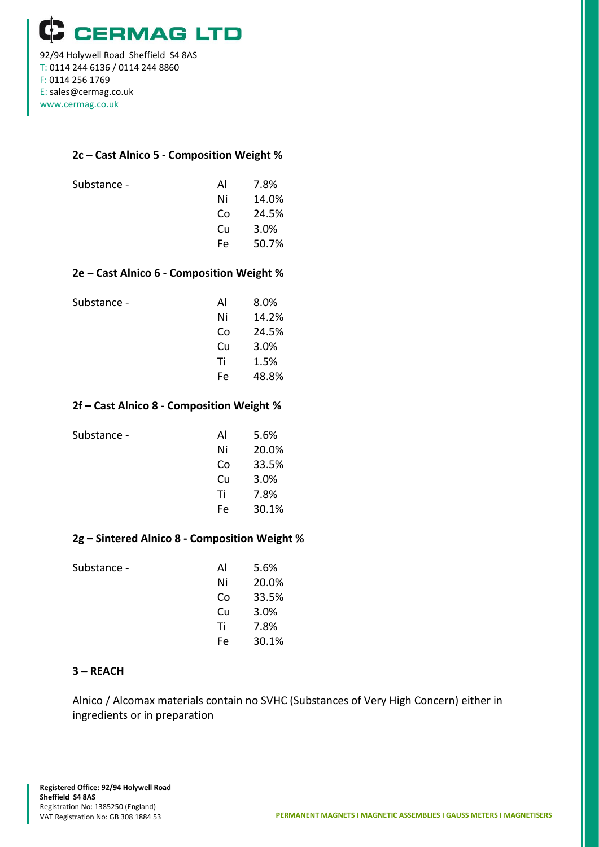**CERMAG LTD** 92/94 Holywell Road Sheffield S4 8AS T: 0114 244 6136 / 0114 244 8860 F: 0114 256 1769 E: sales@cermag.co.uk www.cermag.co.uk

#### **2c – Cast Alnico 5 - Composition Weight %**

| Substance - | AI  | 7.8%  |
|-------------|-----|-------|
|             | Ni  | 14.0% |
|             | Co  | 24.5% |
|             | Cи  | 3.0%  |
|             | Fe. | 50.7% |

#### **2e – Cast Alnico 6 - Composition Weight %**

| Substance - | Al  | 8.0%  |
|-------------|-----|-------|
|             | Ni  | 14.2% |
|             | Co  | 24.5% |
|             | Cu  | 3.0%  |
|             | Τi  | 1.5%  |
|             | Fe. | 48.8% |
|             |     |       |

#### **2f – Cast Alnico 8 - Composition Weight %**

| Substance - | Al | 5.6%  |
|-------------|----|-------|
|             | Ni | 20.0% |
|             | Co | 33.5% |
|             | Cu | 3.0%  |
|             | Τi | 7.8%  |
|             | Fe | 30.1% |
|             |    |       |

## **2g – Sintered Alnico 8 - Composition Weight %**

| Substance - | Al | 5.6%  |
|-------------|----|-------|
|             | Ni | 20.0% |
|             | Co | 33.5% |
|             | Cu | 3.0%  |
|             | Τi | 7.8%  |
|             | Fe | 30.1% |
|             |    |       |

#### **3 – REACH**

Alnico / Alcomax materials contain no SVHC (Substances of Very High Concern) either in ingredients or in preparation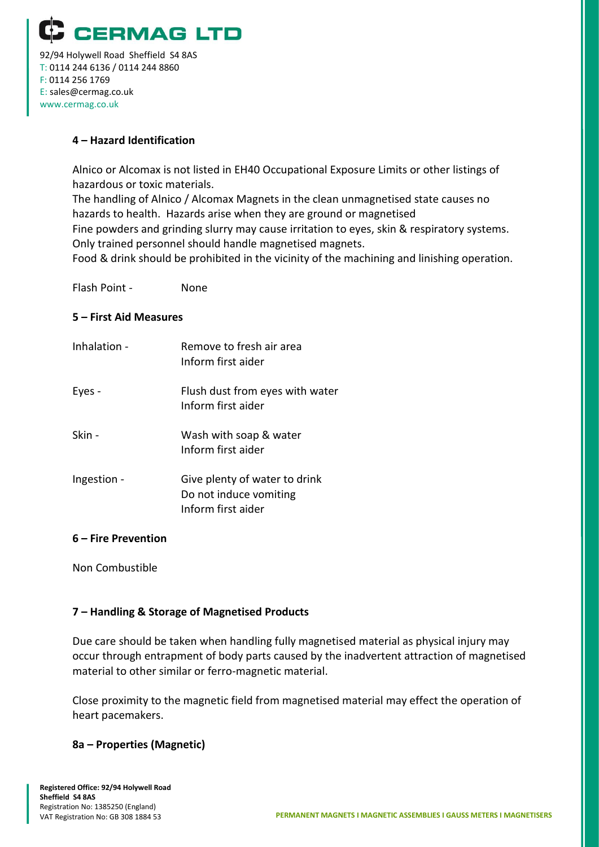

92/94 Holywell Road Sheffield S4 8AS T: 0114 244 6136 / 0114 244 8860 F: 0114 256 1769 E: sales@cermag.co.uk www.cermag.co.uk

# **4 – Hazard Identification**

Alnico or Alcomax is not listed in EH40 Occupational Exposure Limits or other listings of hazardous or toxic materials.

The handling of Alnico / Alcomax Magnets in the clean unmagnetised state causes no hazards to health. Hazards arise when they are ground or magnetised Fine powders and grinding slurry may cause irritation to eyes, skin & respiratory systems. Only trained personnel should handle magnetised magnets.

Food & drink should be prohibited in the vicinity of the machining and linishing operation.

Flash Point - None

## **5 – First Aid Measures**

| Inhalation - | Remove to fresh air area<br>Inform first aider                                |
|--------------|-------------------------------------------------------------------------------|
| Eyes -       | Flush dust from eyes with water<br>Inform first aider                         |
| Skin -       | Wash with soap & water<br>Inform first aider                                  |
| Ingestion -  | Give plenty of water to drink<br>Do not induce vomiting<br>Inform first aider |

#### **6 – Fire Prevention**

Non Combustible

# **7 – Handling & Storage of Magnetised Products**

Due care should be taken when handling fully magnetised material as physical injury may occur through entrapment of body parts caused by the inadvertent attraction of magnetised material to other similar or ferro-magnetic material.

Close proximity to the magnetic field from magnetised material may effect the operation of heart pacemakers.

#### **8a – Properties (Magnetic)**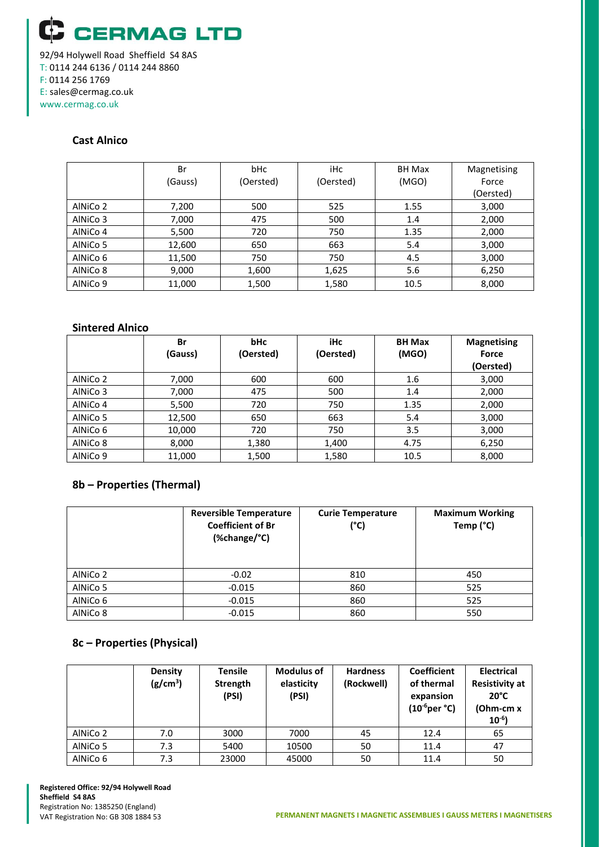**CERMAG LTD** 92/94 Holywell Road Sheffield S4 8AS T: 0114 244 6136 / 0114 244 8860

F: 0114 256 1769 E: sales@cermag.co.uk www.cermag.co.uk

## **Cast Alnico**

|          | Br      | <b>bHc</b> | iHc       | <b>BH Max</b> | Magnetising |
|----------|---------|------------|-----------|---------------|-------------|
|          | (Gauss) | (Oersted)  | (Oersted) | (MGO)         | Force       |
|          |         |            |           |               | (Oersted)   |
| AINiCo 2 | 7,200   | 500        | 525       | 1.55          | 3,000       |
| AINiCo 3 | 7,000   | 475        | 500       | 1.4           | 2,000       |
| AINiCo 4 | 5,500   | 720        | 750       | 1.35          | 2,000       |
| AINiCo 5 | 12,600  | 650        | 663       | 5.4           | 3,000       |
| AINiCo 6 | 11,500  | 750        | 750       | 4.5           | 3,000       |
| AINiCo 8 | 9,000   | 1,600      | 1,625     | 5.6           | 6,250       |
| AINiCo 9 | 11,000  | 1,500      | 1,580     | 10.5          | 8,000       |

#### **Sintered Alnico**

|          | Br      | <b>bHc</b> | <b>iHc</b> | <b>BH Max</b> | <b>Magnetising</b> |
|----------|---------|------------|------------|---------------|--------------------|
|          | (Gauss) | (Oersted)  | (Oersted)  | (MGO)         | Force              |
|          |         |            |            |               | (Oersted)          |
| AINiCo 2 | 7,000   | 600        | 600        | 1.6           | 3,000              |
| AINiCo 3 | 7,000   | 475        | 500        | 1.4           | 2,000              |
| AINiCo 4 | 5,500   | 720        | 750        | 1.35          | 2,000              |
| AINiCo 5 | 12,500  | 650        | 663        | 5.4           | 3,000              |
| AINiCo 6 | 10,000  | 720        | 750        | 3.5           | 3,000              |
| AINICo 8 | 8,000   | 1,380      | 1,400      | 4.75          | 6,250              |
| AINiCo 9 | 11,000  | 1,500      | 1,580      | 10.5          | 8,000              |

#### **8b – Properties (Thermal)**

|          | <b>Reversible Temperature</b><br><b>Coefficient of Br</b><br>(%change/°C) | <b>Curie Temperature</b><br>(°C) | <b>Maximum Working</b><br>Temp (°C) |
|----------|---------------------------------------------------------------------------|----------------------------------|-------------------------------------|
| AlNiCo 2 | $-0.02$                                                                   | 810                              | 450                                 |
| AINiCo 5 | $-0.015$                                                                  | 860                              | 525                                 |
| AINiCo 6 | $-0.015$                                                                  | 860                              | 525                                 |
| AlNiCo 8 | $-0.015$                                                                  | 860                              | 550                                 |

#### **8c – Properties (Physical)**

|          | Density<br>(g/cm <sup>3</sup> ) | <b>Tensile</b><br><b>Strength</b><br>(PSI) | <b>Modulus of</b><br>elasticity<br>(PSI) | <b>Hardness</b><br>(Rockwell) | <b>Coefficient</b><br>of thermal<br>expansion<br>$(10^{-6} \text{per}^{\circ}\text{C})$ | <b>Electrical</b><br><b>Resistivity at</b><br>$20^{\circ}$ C<br>(Ohm-cm x<br>$10^{-6}$ |
|----------|---------------------------------|--------------------------------------------|------------------------------------------|-------------------------------|-----------------------------------------------------------------------------------------|----------------------------------------------------------------------------------------|
| AlNiCo 2 | 7.0                             | 3000                                       | 7000                                     | 45                            | 12.4                                                                                    | 65                                                                                     |
| AINiCo 5 | 7.3                             | 5400                                       | 10500                                    | 50                            | 11.4                                                                                    | 47                                                                                     |
| AINiCo 6 | 7.3                             | 23000                                      | 45000                                    | 50                            | 11.4                                                                                    | 50                                                                                     |